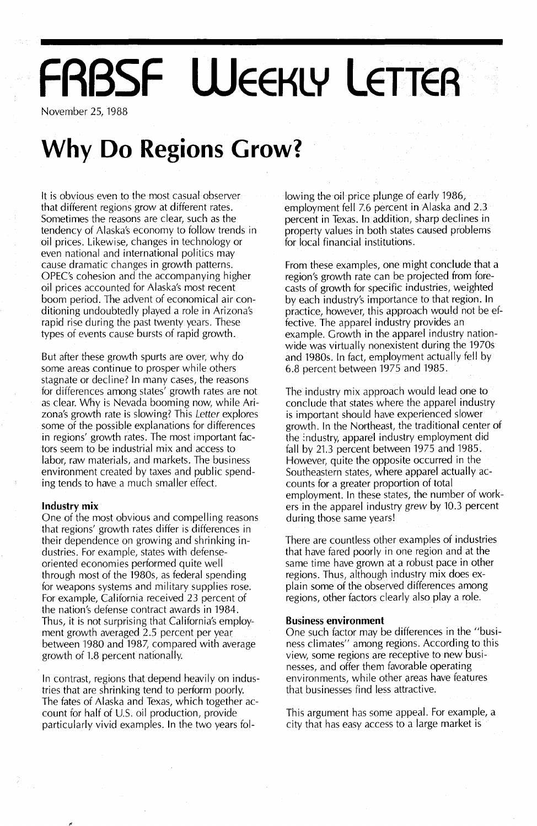# **FRBSF WEEKLY LETTER**

November 25, 1988

## **Why Do Regions Grow?**

It is obvious even to the most casual observer that different regions grow at different rates. Sometimes the reasons are clear, such as the tendency of Alaska's economy to follow trends in oil prices. Likewise, changes in technology or even national and international politics may cause dramatic changes in growth patterns. OPEC's cohesion and the accompanying higher oil prices accounted for Alaska's most recent boom period. The advent of economical air conditioning undoubtedly played a role in Arizona's rapid rise during the past twenty years. These types of events cause bursts of rapid growth.

But after these growth spurts are over, why do some areas continue to prosper while others stagnate or decline? In many cases, the reasons for differences among states' growth rates are not as clear. Why is Nevada booming now, while Arizona's growth rate is slowing? This Letter explores some of the possible explanations for differences in regions' growth rates. The most important factors seem to be industrial mix and access to labor, raw materials, and markets. The business environment created by taxes and public spending tends to have a much smaller effect.

#### **Industry mix**

One of the most obvious and compelling reasons that regions' growth rates differ is differences in their dependence on growing and shrinking industries. For example, states with defenseoriented economies performed quite well through most of the 1980s, as federal spending for weapons systems and military supplies rose. For example, California received 23 percent of the nation's defense contract awards in 1984. Thus, it is not surprising that California's employment growth averaged 2.5 percent per year between 1980 and 1987, compared with average growth of 1.8 percent nationally.

In contrast, regions that depend heavily on industries that are shrinking tend to perform poorly. The fates of Alaska and Texas, which together account for half of U.S. oil production, provide particularly vivid examples. In the two years following the oil price plunge of early 1986, employment fell 7.6 percent in Alaska and 2.3 percent in Texas. In addition, sharp declines in property values in both states caused problems for local financial institutions.

From these examples, one might conclude that a region's growth rate can be projected from forecasts of growth for specific industries, weighted by each industry's importance to that region. In practice, however, this approach would not be effective. The apparel industry provides an example. Growth in the apparel industry nationwide was virtually nonexistent during the 1970s and 1980s. In fact, employment actually fell by 6.8 percent between 1975 and 1985.

The industry mix approach would lead one to conclude that states where the apparel industry is important should have experienced slower growth. In the Northeast, the traditional center of the industry, apparel industry employment did fall by 21.3 percent between 1975 and 1985. However, quite the opposite occurred in the Southeastern states, where apparel actually accounts for a greater proportion of total employment. In these states, the number of workers in the apparel industry grew by 10.3 percent during those same years!

There are countless other examples of industries that have fared poorly in one region and at the same time have grown at a robust pace in other regions. Thus, although industry mix does explain some of the observed differences among regions, other factors clearly also play a role.

#### **Business environment**

One such factor may be differences in the "business climates" among regions. According to this view, some regions are receptive to new businesses, and offer them favorable operating environments, while other areas have features that businesses find less attractive.

This argument has some appeal. For example, a city that has easy access to a large market is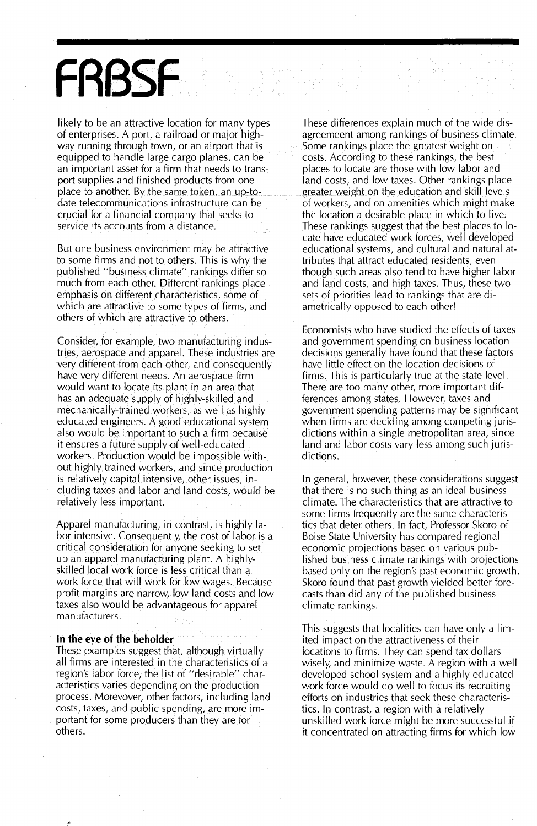## **FABSF**

likely to be an attractive location for many types of enterprises. A port, a railroad or major highway running through town, or an airport that is equipped to handle large cargo planes, can be an important asset for a firm that needs to transport supplies and finished products from one place to another. By the same token, an up-todate telecommunications infrastructure can be crucial for a financial company that seeks to service its accounts from a distance.

But one business environment may be attractive to some firms and not to others. This is why the published "business climate" rankings differ so much from each other. Different rankings place emphasis on different characteristics, some of which are attractive to some types of firms, and others of which are attractive to others.

Consider, for example, two manufacturing industries, aerospace and apparel. These industries are very different from each other, and consequently have very different needs. An aerospace firm would want to locate its plant in an area that has an adequate supply of highly-skilled and mechanically-trained workers, as well as highly educated engineers. A good educational system also would be important to such a firm because it ensures a future supply of well-educated workers. Production would be impossible without highly trained workers, and since production is relatively capital intensive, other issues, including taxes and labor and land costs, would be relatively less important.

Apparel manufacturing, in contrast, is highly labor intensive. Consequently, the cost of labor is a critical consideration for anyone seeking to set up an apparel manufacturing plant. A highlyskilled local work force is less critical than a work force that will work for low wages. Because profit margins are narrow, low land costs and low taxes also would be advantageous for apparel manufacturers.

#### **In** the eye of the beholder

These examples suggest that, although virtually all firms are interested in the characteristics of a region's labor force, the list of "desirable" characteristics varies depending on the production process. Morevover, other factors, including land costs, taxes, and public spending, are more important for some producers than they are for others.

These differences explain much of the wide disagreemeent among rankings of business climate. Some rankings place the greatest weight on costs. According to these rankings, the best places to locate are those with low labor and land costs, and low taxes. Other rankings place greater weight on the education and skill levels of workers, and on amenities which might make the location a desirable place in which to live. These rankings suggest that the best places to locate have educated work forces, well developed educational systems, and cultural and natural attributes that attract educated residents, even though such areas also tend to have higher labor and land costs, and high taxes. Thus, these two sets of priorities lead to rankings that are diametrically opposed to each other!

Economists who have studied the effects of taxes and government spending on business location decisions generally have found that these factors have little effect on the location decisions of firms. This is particularly true at the state level. There are too many other, more important differences among states. However, taxes and government spending patterns may be significant when firms are deciding among competing jurisdictions within a single metropolitan area, since land and labor costs vary less among such jurisdictions.

In general, however, these considerations suggest that there is no such thing as an ideal business climate. The characteristics that are attractive to some firms frequently are the same characteristics that deter others. In fact, Professor Skoro of Boise State University has compared regional economic projections based on various published business climate rankings with projections based only on the region's past economic growth. Skoro found that past growth yielded better forecasts than did any of the published business climate rankings.

This suggests that localities can have only a limited impact on the attractiveness of their locations to firms. They can spend tax dollars wisely, and minimize waste. A region with a well developed school system and a highly educated work force would do well to focus its recruiting efforts on industries that seek these characteristics. In contrast, a region with a relatively unskilled work force might be more successful if it concentrated on attracting firms for which low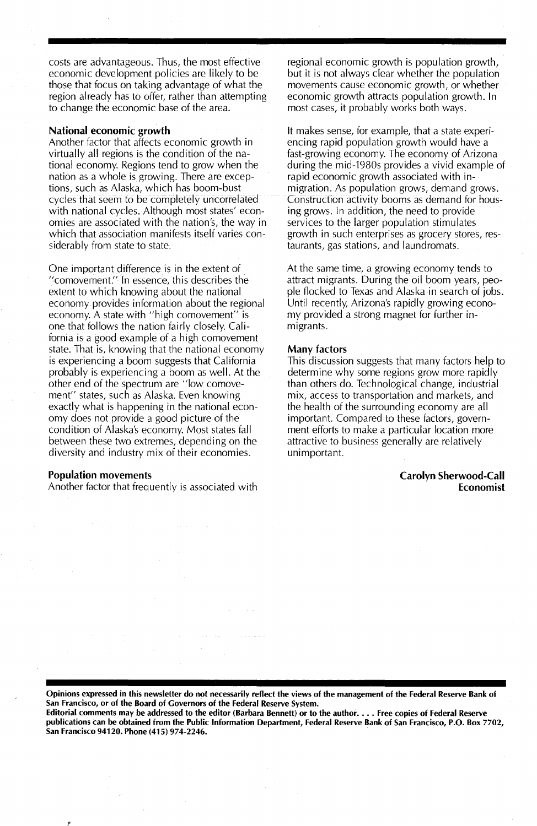costs are advantageous. Thus, the most effective economic development policies are likely to be those that focus on taking advantage of what the region already has to offer, rather than attempting to change the economic base of the area.

#### National economic growth

Another factor that affects economic growth in virtually all regions is the condition of the national economy. Regions tend to grow when the nation as a whole is growing. There are exceptions, such as Alaska, which has boom-bust cycles that seem to be completely uncorrelated with national cycles. Although most states' economies are associated with the nation's, the way in which that association manifests itself varies considerably from state to state.

One important difference is in the extent of "comovement." In essence, this describes the extent to which knowing about the national economy. provides information about the regional economy. A state with "high comovement" is one that follows the nation fairly closely. California is a good example of a high comovement state. That is, knowing that the national economy is experiencing a boom suggests that California probably is experiencing a boom as well. At the other end of the spectrum are "low comovement" states, such as Alaska. Even knowing exactly what is happening in the national economy does not provide a good picture of the condition of Alaska's economy. Most states fall between these two extremes, depending on the diversity and industry mix of their economies.

#### Population movements

Another factor that frequently is associated with

regional economic growth is population growth, but it is not always clear whether the population movements cause economic growth, or whether economic growth attracts population growth. In most cases, it probably works both ways.

It makes sense, for example, that a state experiencing rapid population growth would have a fast-growing economy. The economy of Arizona during the mid-1980s provides a vivid example of rapid economic growth associated with inmigration. As population grows, demand grows. Construction activity booms as demand for housing grows. In addition, the need to provide services to the larger population stimulates growth in such enterprises as grocery stores, restaurants, gas stations, and laundromats.

At the same time, a growing economy tends to attract migrants. During the oil boom years, people flocked to Texas and Alaska in search of jobs. Until recently, Arizona's rapidly growing economy provided a strong magnet for further inmigrants.

#### Many factors

This discussion suggests that many factors help to determine why some regions grow more rapidly than others do. Technological change, industrial mix, access to transportation and markets, and the health of the surrounding economy are all important. Compared to these factors, government efforts to make a particular location more attractive to business generally are relatively unimportant.

#### Carolyn Sherwood-Call Economist

Opinions expressed in this newsletter do not necessarily reflect the views of the management of the Federal Reserve Bank of San Francisco, or of the Board of Governors of the Federal Reserve System.

Editorial comments may be addressed to the editor (Barbara Bennett) or to the author.... Free copies of Federal Reserve publications can be obtained from the Public Information Department, Federal Reserve Bank of San Francisco, P.O. Box 7702, San Francisco 94120. Phone (415) 974-2246.